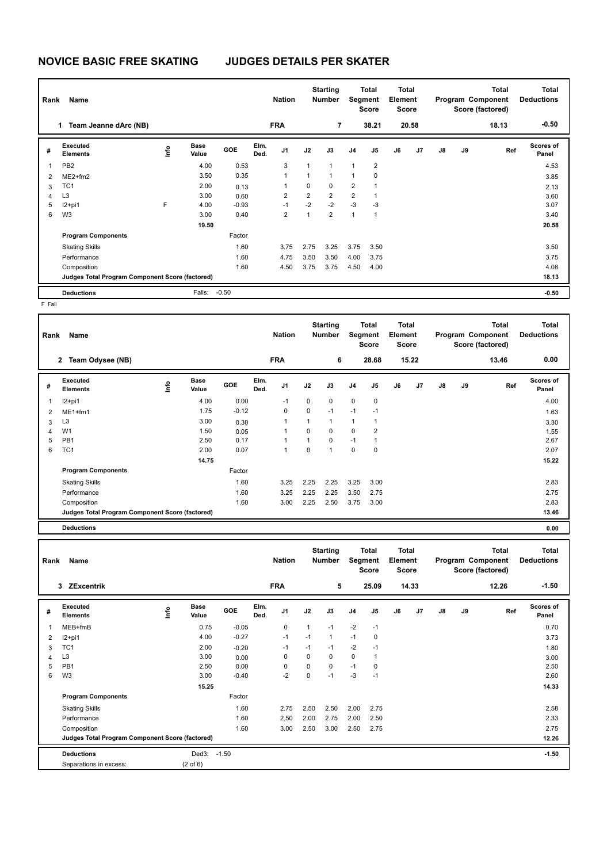## **NOVICE BASIC FREE SKATING JUDGES DETAILS PER SKATER**

|                                                 | Rank<br>Name                |      |                      |            |              | <b>Starting</b><br><b>Nation</b><br><b>Number</b> |                | Total<br>Segment<br><b>Score</b> |                | <b>Total</b><br>Element<br><b>Score</b> |    | <b>Total</b><br>Program Component<br>Score (factored) |               |       | <b>Total</b><br><b>Deductions</b> |                    |
|-------------------------------------------------|-----------------------------|------|----------------------|------------|--------------|---------------------------------------------------|----------------|----------------------------------|----------------|-----------------------------------------|----|-------------------------------------------------------|---------------|-------|-----------------------------------|--------------------|
|                                                 | Team Jeanne dArc (NB)<br>1. |      |                      |            |              | <b>FRA</b>                                        |                | $\overline{7}$                   |                | 38.21                                   |    | 20.58                                                 |               |       | 18.13                             | $-0.50$            |
| #                                               | Executed<br><b>Elements</b> | lnfo | <b>Base</b><br>Value | <b>GOE</b> | Elm.<br>Ded. | J <sub>1</sub>                                    | J2             | J3                               | J <sub>4</sub> | J5                                      | J6 | J7                                                    | $\mathsf{J}8$ | J9    | Ref                               | Scores of<br>Panel |
| $\overline{\mathbf{1}}$                         | PB <sub>2</sub>             |      | 4.00                 | 0.53       |              | 3                                                 | 1              | $\overline{1}$                   | $\mathbf{1}$   | $\overline{2}$                          |    |                                                       |               |       |                                   | 4.53               |
| $\overline{2}$                                  | $ME2+fm2$                   |      | 3.50                 | 0.35       |              | 1                                                 | 1              | $\overline{1}$                   | $\mathbf{1}$   | 0                                       |    |                                                       |               |       |                                   | 3.85               |
| 3                                               | TC <sub>1</sub>             |      | 2.00                 | 0.13       |              |                                                   | 0              | $\mathbf 0$                      | $\overline{2}$ | 1                                       |    |                                                       |               |       |                                   | 2.13               |
| 4                                               | L <sub>3</sub>              |      | 3.00                 | 0.60       |              | 2                                                 | $\overline{2}$ | $\overline{2}$                   | $\overline{2}$ | 1                                       |    |                                                       |               |       |                                   | 3.60               |
| 5                                               | $12+pi1$                    | E    | 4.00                 | $-0.93$    |              | $-1$                                              | $-2$           | $-2$                             | $-3$           | $-3$                                    |    |                                                       |               |       |                                   | 3.07               |
| 6                                               | W <sub>3</sub>              |      | 3.00                 | 0.40       |              | 2                                                 | 1              | $\overline{2}$                   | $\mathbf{1}$   | $\mathbf{1}$                            |    |                                                       |               |       |                                   | 3.40               |
|                                                 |                             |      | 19.50                |            |              |                                                   |                |                                  |                |                                         |    |                                                       |               |       |                                   | 20.58              |
|                                                 | <b>Program Components</b>   |      |                      | Factor     |              |                                                   |                |                                  |                |                                         |    |                                                       |               |       |                                   |                    |
|                                                 | <b>Skating Skills</b>       |      |                      | 1.60       |              | 3.75                                              | 2.75           | 3.25                             | 3.75           | 3.50                                    |    |                                                       |               |       |                                   | 3.50               |
|                                                 | Performance                 |      |                      | 1.60       |              | 4.75                                              | 3.50           | 3.50                             | 4.00           | 3.75                                    |    |                                                       |               |       |                                   | 3.75               |
|                                                 | Composition                 |      |                      | 1.60       |              | 4.50                                              | 3.75           | 3.75                             | 4.50           | 4.00                                    |    |                                                       |               |       |                                   | 4.08               |
| Judges Total Program Component Score (factored) |                             |      |                      |            |              |                                                   |                |                                  |                |                                         |    |                                                       |               | 18.13 |                                   |                    |
|                                                 | <b>Deductions</b>           |      | Falls:               | $-0.50$    |              |                                                   |                |                                  |                |                                         |    |                                                       |               |       |                                   | $-0.50$            |

F Fall

| Rank | Name                                            |      |                      |            |              | <b>Nation</b>  |      | <b>Starting</b><br><b>Number</b> | Total<br>Segment<br><b>Score</b> |                | Total<br>Element<br><b>Score</b> |       | <b>Total</b><br>Program Component<br>Score (factored) |    |       | <b>Total</b><br><b>Deductions</b> |
|------|-------------------------------------------------|------|----------------------|------------|--------------|----------------|------|----------------------------------|----------------------------------|----------------|----------------------------------|-------|-------------------------------------------------------|----|-------|-----------------------------------|
|      | 2 Team Odysee (NB)                              |      |                      |            |              | <b>FRA</b>     |      | 6                                |                                  | 28.68          |                                  | 15.22 |                                                       |    | 13.46 | 0.00                              |
| #    | Executed<br><b>Elements</b>                     | ١nf٥ | <b>Base</b><br>Value | <b>GOE</b> | Elm.<br>Ded. | J <sub>1</sub> | J2   | J3                               | J <sub>4</sub>                   | J5             | J6                               | J7    | J8                                                    | J9 | Ref   | Scores of<br>Panel                |
|      | $12+pi1$                                        |      | 4.00                 | 0.00       |              | $-1$           | 0    | 0                                | $\mathbf 0$                      | 0              |                                  |       |                                                       |    |       | 4.00                              |
| 2    | $ME1+fm1$                                       |      | 1.75                 | $-0.12$    |              | 0              | 0    | $-1$                             | $-1$                             | $-1$           |                                  |       |                                                       |    |       | 1.63                              |
| 3    | L <sub>3</sub>                                  |      | 3.00                 | 0.30       |              | 1              | 1    | 1                                | 1                                | 1              |                                  |       |                                                       |    |       | 3.30                              |
| 4    | W <sub>1</sub>                                  |      | 1.50                 | 0.05       |              | 1              | 0    | 0                                | $\mathbf 0$                      | $\overline{2}$ |                                  |       |                                                       |    |       | 1.55                              |
| 5    | PB <sub>1</sub>                                 |      | 2.50                 | 0.17       |              | 1              | 1    | $\mathbf 0$                      | $-1$                             | 1              |                                  |       |                                                       |    |       | 2.67                              |
| 6    | TC <sub>1</sub>                                 |      | 2.00                 | 0.07       |              | 1              | 0    | 1                                | $\mathbf 0$                      | 0              |                                  |       |                                                       |    |       | 2.07                              |
|      |                                                 |      | 14.75                |            |              |                |      |                                  |                                  |                |                                  |       |                                                       |    |       | 15.22                             |
|      | <b>Program Components</b>                       |      |                      | Factor     |              |                |      |                                  |                                  |                |                                  |       |                                                       |    |       |                                   |
|      | <b>Skating Skills</b>                           |      |                      | 1.60       |              | 3.25           | 2.25 | 2.25                             | 3.25                             | 3.00           |                                  |       |                                                       |    |       | 2.83                              |
|      | Performance                                     |      |                      | 1.60       |              | 3.25           | 2.25 | 2.25                             | 3.50                             | 2.75           |                                  |       |                                                       |    |       | 2.75                              |
|      | Composition                                     |      |                      | 1.60       |              | 3.00           | 2.25 | 2.50                             | 3.75                             | 3.00           |                                  |       |                                                       |    |       | 2.83                              |
|      | Judges Total Program Component Score (factored) |      |                      |            |              |                |      |                                  |                                  |                |                                  |       |                                                       |    |       | 13.46                             |

**Deductions 0.00**

|   | Name<br>Rank                                    |      |                      |            |              | <b>Nation</b>  |      | <b>Starting</b><br><b>Number</b> |                | Total<br>Segment<br>Score |    | Total<br>Element<br><b>Score</b> |               | Program Component<br>Score (factored) |       | <b>Total</b><br><b>Deductions</b> |
|---|-------------------------------------------------|------|----------------------|------------|--------------|----------------|------|----------------------------------|----------------|---------------------------|----|----------------------------------|---------------|---------------------------------------|-------|-----------------------------------|
|   | <b>ZExcentrik</b><br>3                          |      |                      |            |              | <b>FRA</b>     |      | 5                                |                | 25.09                     |    | 14.33                            |               |                                       | 12.26 | $-1.50$                           |
| # | Executed<br><b>Elements</b>                     | lnfo | <b>Base</b><br>Value | <b>GOE</b> | Elm.<br>Ded. | J <sub>1</sub> | J2   | J3                               | J <sub>4</sub> | J5                        | J6 | J7                               | $\mathsf{J}8$ | J9                                    | Ref   | <b>Scores of</b><br>Panel         |
|   | $MEB+fmB$                                       |      | 0.75                 | $-0.05$    |              | 0              | 1    | $-1$                             | $-2$           | $-1$                      |    |                                  |               |                                       |       | 0.70                              |
| 2 | $12+pi1$                                        |      | 4.00                 | $-0.27$    |              | $-1$           | $-1$ | $\mathbf{1}$                     | $-1$           | 0                         |    |                                  |               |                                       |       | 3.73                              |
| 3 | TC <sub>1</sub>                                 |      | 2.00                 | $-0.20$    |              | $-1$           | $-1$ | $-1$                             | $-2$           | $-1$                      |    |                                  |               |                                       |       | 1.80                              |
| 4 | L <sub>3</sub>                                  |      | 3.00                 | 0.00       |              | 0              | 0    | 0                                | 0              | 1                         |    |                                  |               |                                       |       | 3.00                              |
| 5 | PB1                                             |      | 2.50                 | 0.00       |              | 0              | 0    | 0                                | $-1$           | 0                         |    |                                  |               |                                       |       | 2.50                              |
| 6 | W <sub>3</sub>                                  |      | 3.00                 | $-0.40$    |              | $-2$           | 0    | $-1$                             | $-3$           | $-1$                      |    |                                  |               |                                       |       | 2.60                              |
|   |                                                 |      | 15.25                |            |              |                |      |                                  |                |                           |    |                                  |               |                                       |       | 14.33                             |
|   | <b>Program Components</b>                       |      |                      | Factor     |              |                |      |                                  |                |                           |    |                                  |               |                                       |       |                                   |
|   | <b>Skating Skills</b>                           |      |                      | 1.60       |              | 2.75           | 2.50 | 2.50                             | 2.00           | 2.75                      |    |                                  |               |                                       |       | 2.58                              |
|   | Performance                                     |      |                      | 1.60       |              | 2.50           | 2.00 | 2.75                             | 2.00           | 2.50                      |    |                                  |               |                                       |       | 2.33                              |
|   | Composition                                     |      |                      | 1.60       |              | 3.00           | 2.50 | 3.00                             | 2.50           | 2.75                      |    |                                  |               |                                       |       | 2.75                              |
|   | Judges Total Program Component Score (factored) |      |                      |            |              |                |      |                                  |                |                           |    |                                  | 12.26         |                                       |       |                                   |
|   | <b>Deductions</b>                               |      | Ded3:                | $-1.50$    |              |                |      |                                  |                |                           |    |                                  |               |                                       |       | $-1.50$                           |
|   | Separations in excess:                          |      | $(2 \text{ of } 6)$  |            |              |                |      |                                  |                |                           |    |                                  |               |                                       |       |                                   |